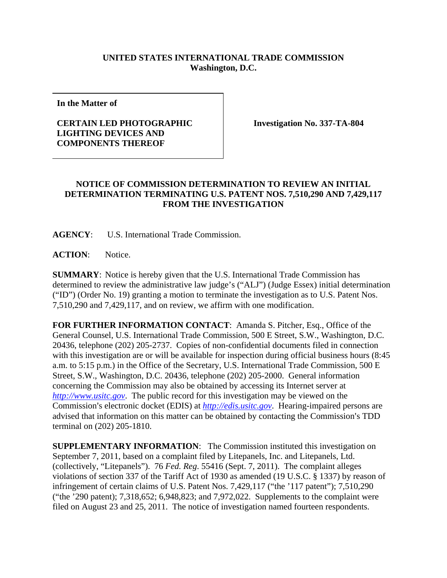## **UNITED STATES INTERNATIONAL TRADE COMMISSION Washington, D.C.**

**In the Matter of** 

## **CERTAIN LED PHOTOGRAPHIC LIGHTING DEVICES AND COMPONENTS THEREOF**

**Investigation No. 337-TA-804** 

## **NOTICE OF COMMISSION DETERMINATION TO REVIEW AN INITIAL DETERMINATION TERMINATING U.S. PATENT NOS. 7,510,290 AND 7,429,117 FROM THE INVESTIGATION**

**AGENCY**: U.S. International Trade Commission.

**ACTION**: Notice.

**SUMMARY**: Notice is hereby given that the U.S. International Trade Commission has determined to review the administrative law judge's ("ALJ") (Judge Essex) initial determination ("ID") (Order No. 19) granting a motion to terminate the investigation as to U.S. Patent Nos. 7,510,290 and 7,429,117, and on review, we affirm with one modification.

**FOR FURTHER INFORMATION CONTACT**: Amanda S. Pitcher, Esq., Office of the General Counsel, U.S. International Trade Commission, 500 E Street, S.W., Washington, D.C. 20436, telephone (202) 205-2737. Copies of non-confidential documents filed in connection with this investigation are or will be available for inspection during official business hours (8:45 a.m. to 5:15 p.m.) in the Office of the Secretary, U.S. International Trade Commission, 500 E Street, S.W., Washington, D.C. 20436, telephone (202) 205-2000. General information concerning the Commission may also be obtained by accessing its Internet server at *http://www.usitc.gov*. The public record for this investigation may be viewed on the Commission's electronic docket (EDIS) at *http://edis.usitc.gov*. Hearing-impaired persons are advised that information on this matter can be obtained by contacting the Commission's TDD terminal on (202) 205-1810.

**SUPPLEMENTARY INFORMATION**: The Commission instituted this investigation on September 7, 2011, based on a complaint filed by Litepanels, Inc. and Litepanels, Ltd. (collectively, "Litepanels"). 76 *Fed. Reg*. 55416 (Sept. 7, 2011). The complaint alleges violations of section 337 of the Tariff Act of 1930 as amended (19 U.S.C. § 1337) by reason of infringement of certain claims of U.S. Patent Nos. 7,429,117 ("the '117 patent"); 7,510,290 ("the '290 patent); 7,318,652; 6,948,823; and 7,972,022. Supplements to the complaint were filed on August 23 and 25, 2011. The notice of investigation named fourteen respondents.